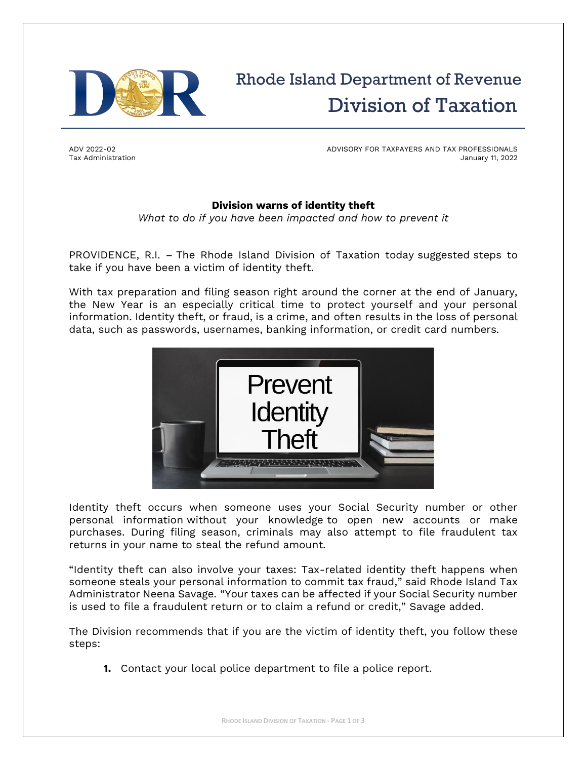

## Rhode Island Department of Revenue Division of Taxation

ADV 2022-02 Tax Administration ADVISORY FOR TAXPAYERS AND TAX PROFESSIONALS January 11, 2022

## **Division warns of identity theft**

*What to do if you have been impacted and how to prevent it*

PROVIDENCE, R.I. – The Rhode Island Division of Taxation today suggested steps to take if you have been a victim of identity theft.

With tax preparation and filing season right around the corner at the end of January, the New Year is an especially critical time to protect yourself and your personal information. Identity theft, or fraud, is a crime, and often results in the loss of personal data, such as passwords, usernames, banking information, or credit card numbers.



Identity theft occurs when someone uses your Social Security number or other personal information without your knowledge to open new accounts or make purchases. During filing season, criminals may also attempt to file fraudulent tax returns in your name to steal the refund amount.

"Identity theft can also involve your taxes: Tax-related identity theft happens when someone steals your personal information to commit tax fraud," said Rhode Island Tax Administrator Neena Savage. "Your taxes can be affected if your Social Security number is used to file a fraudulent return or to claim a refund or credit," Savage added.

The Division recommends that if you are the victim of identity theft, you follow these steps:

**1.** Contact your local police department to file a police report.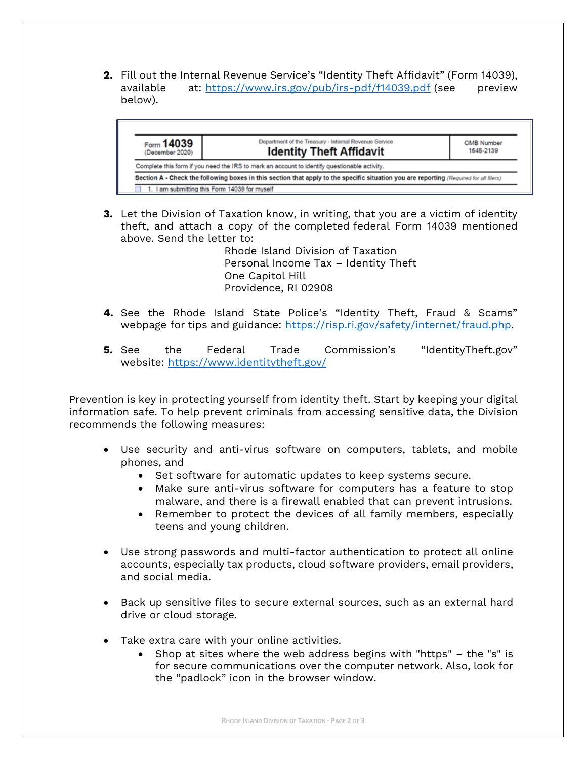**2.** Fill out the Internal Revenue Service's "Identity Theft Affidavit" (Form 14039), available at: <https://www.irs.gov/pub/irs-pdf/f14039.pdf> (see preview below).



**3.** Let the Division of Taxation know, in writing, that you are a victim of identity theft, and attach a copy of the completed federal Form 14039 mentioned above. Send the letter to:

> Rhode Island Division of Taxation Personal Income Tax – Identity Theft One Capitol Hill Providence, RI 02908

- **4.** See the Rhode Island State Police's "Identity Theft, Fraud & Scams" webpage for tips and guidance: [https://risp.ri.gov/safety/internet/fraud.php.](https://risp.ri.gov/safety/internet/fraud.php)
- **5.** See the Federal Trade Commission's "IdentityTheft.gov" website: <https://www.identitytheft.gov/>

Prevention is key in protecting yourself from identity theft. Start by keeping your digital information safe. To help prevent criminals from accessing sensitive data, the Division recommends the following measures:

- Use security and anti-virus software on computers, tablets, and mobile phones, and
	- Set software for automatic updates to keep systems secure.
	- Make sure anti-virus software for computers has a feature to stop malware, and there is a firewall enabled that can prevent intrusions.
	- Remember to protect the devices of all family members, especially teens and young children.
- Use strong passwords and multi-factor authentication to protect all online accounts, especially tax products, cloud software providers, email providers, and social media.
- Back up sensitive files to secure external sources, such as an external hard drive or cloud storage.
- Take extra care with your online activities.
	- Shop at sites where the web address begins with "https" the "s" is for secure communications over the computer network. Also, look for the "padlock" icon in the browser window.